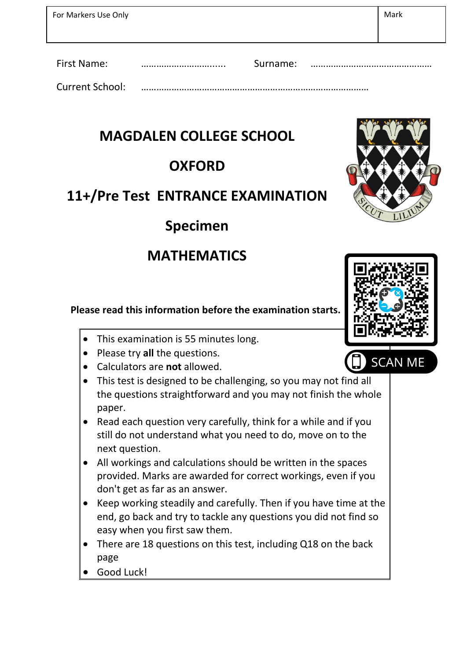| For Markers Use Only   |              | Mark |
|------------------------|--------------|------|
| <b>First Name:</b>     | <br>Surname: |      |
| <b>Current School:</b> |              |      |

#### **MAGDALEN COLLEGE SCHOOL**

### **OXFORD**

# **11+/Pre Test ENTRANCE EXAMINATION**

### **Specimen**

## **MATHEMATICS**

**Please read this information before the examination starts.**

- This examination is 55 minutes long.
- Please try all the questions.
- Calculators are **not** allowed.
- This test is designed to be challenging, so you may not find all the questions straightforward and you may not finish the whole paper.
- Read each question very carefully, think for a while and if you still do not understand what you need to do, move on to the next question.
- All workings and calculations should be written in the spaces provided. Marks are awarded for correct workings, even if you don't get as far as an answer.
- Keep working steadily and carefully. Then if you have time at the end, go back and try to tackle any questions you did not find so easy when you first saw them.
- There are 18 questions on this test, including Q18 on the back page
- Good Luck!

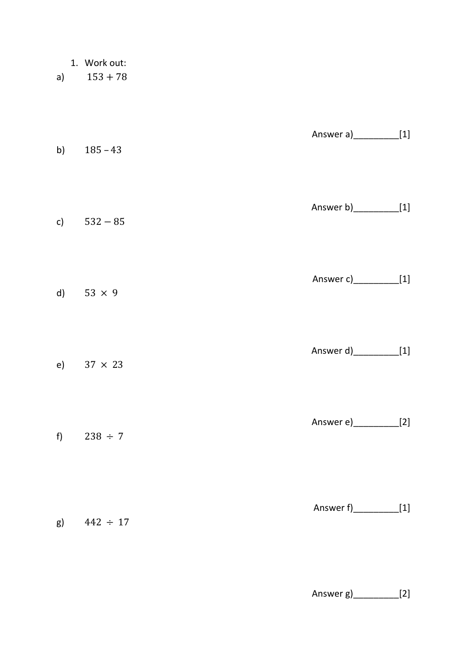|  | Work out: |
|--|-----------|
|--|-----------|

a)  $153 + 78$ 

| b) $185 - 43$     | Answer a)____________[1]  |  |
|-------------------|---------------------------|--|
| c) $532 - 85$     | Answer b)____________[1]  |  |
| d) $53 \times 9$  | Answer c)____________[1]  |  |
| e) $37 \times 23$ | Answer d)_____________[1] |  |
| f) $238 \div 7$   | Answer e)_____________[2] |  |
| g) $442 \div 17$  | Answer f)_____________[1] |  |

Answer g)\_\_\_\_\_\_\_\_\_[2]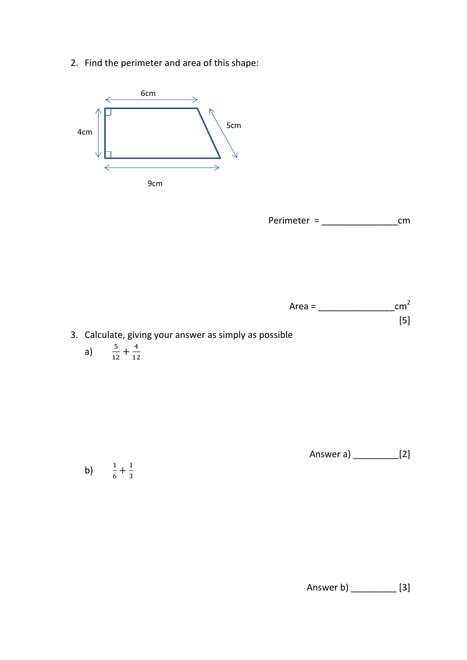2. Find the perimeter and area of this shape:



Perimeter = \_\_\_\_\_\_\_\_\_\_\_\_\_\_\_cm



$$
a) \qquad \frac{5}{12} + \frac{4}{12}
$$

Answer a) \_\_\_\_\_\_\_\_\_[2]

b)  $\frac{1}{6} + \frac{1}{3}$ 3

Answer b) \_\_\_\_\_\_\_\_\_ [3]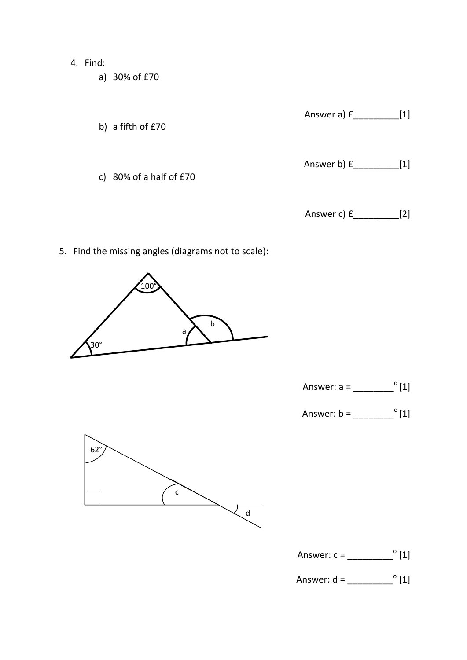- 4. Find:
	- a) 30% of £70
	- Answer a) £\_\_\_\_\_\_\_\_\_[1] b) a fifth of £70 Answer b) £\_\_\_\_\_\_\_\_\_[1] c) 80% of a half of £70 Answer c) £\_\_\_\_\_\_\_\_\_[2]
- 5. Find the missing angles (diagrams not to scale):



Answer: a = \_\_\_\_\_\_\_\_<sup>o</sup>[1]

Answer: b = \_\_\_\_\_\_\_\_ <sup>o</sup>[1]



- Answer:  $c = \sqrt{2 \cdot 1}$
- Answer: d = \_\_\_\_\_\_\_\_\_ o [1]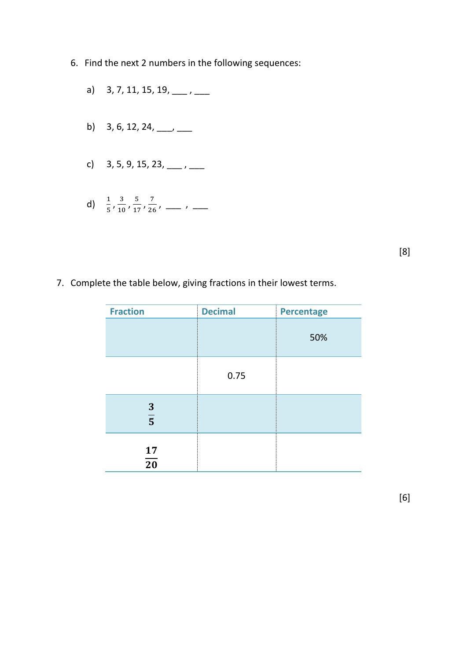- 6. Find the next 2 numbers in the following sequences:
	- a) 3, 7, 11, 15, 19,  $\frac{1}{1}$
	- b) 3, 6, 12, 24,  $\frac{1}{\sqrt{2}}$
	- c)  $3, 5, 9, 15, 23, \underline{\hspace{1cm}}, \underline{\hspace{1cm}}$
	- d)  $\frac{1}{5}, \frac{3}{10}$  $\frac{3}{10}$ ,  $\frac{5}{10}$  $\frac{5}{17}$ ,  $\frac{7}{26}$  $\frac{7}{26}$ , \_\_\_ , \_\_

[8]

7. Complete the table below, giving fractions in their lowest terms.

| <b>Fraction</b>       | <b>Decimal</b> | <b>Percentage</b> |
|-----------------------|----------------|-------------------|
|                       |                | 50%               |
|                       | 0.75           |                   |
| $\frac{3}{5}$         |                |                   |
| 17<br>$\overline{20}$ |                |                   |

[6]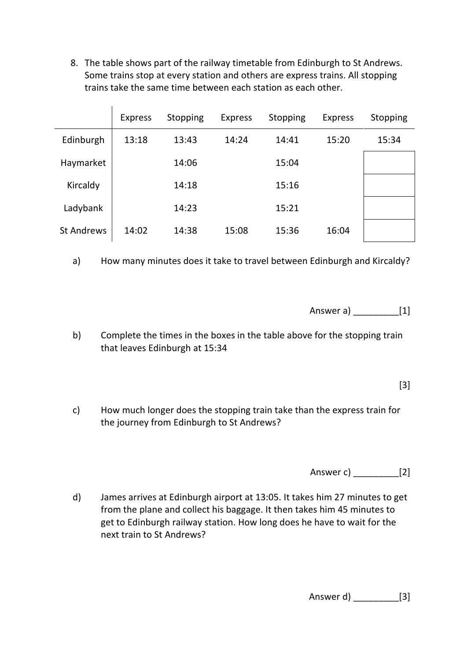8. The table shows part of the railway timetable from Edinburgh to St Andrews. Some trains stop at every station and others are express trains. All stopping trains take the same time between each station as each other.

|                   | <b>Express</b> | Stopping | <b>Express</b> | Stopping | <b>Express</b> | Stopping |
|-------------------|----------------|----------|----------------|----------|----------------|----------|
| Edinburgh         | 13:18          | 13:43    | 14:24          | 14:41    | 15:20          | 15:34    |
| Haymarket         |                | 14:06    |                | 15:04    |                |          |
| Kircaldy          |                | 14:18    |                | 15:16    |                |          |
| Ladybank          |                | 14:23    |                | 15:21    |                |          |
| <b>St Andrews</b> | 14:02          | 14:38    | 15:08          | 15:36    | 16:04          |          |

a) How many minutes does it take to travel between Edinburgh and Kircaldy?

Answer a) \_\_\_\_\_\_\_\_\_[1]

b) Complete the times in the boxes in the table above for the stopping train that leaves Edinburgh at 15:34

[3]

c) How much longer does the stopping train take than the express train for the journey from Edinburgh to St Andrews?

Answer c) \_\_\_\_\_\_\_\_\_[2]

d) James arrives at Edinburgh airport at 13:05. It takes him 27 minutes to get from the plane and collect his baggage. It then takes him 45 minutes to get to Edinburgh railway station. How long does he have to wait for the next train to St Andrews?

Answer d) [3]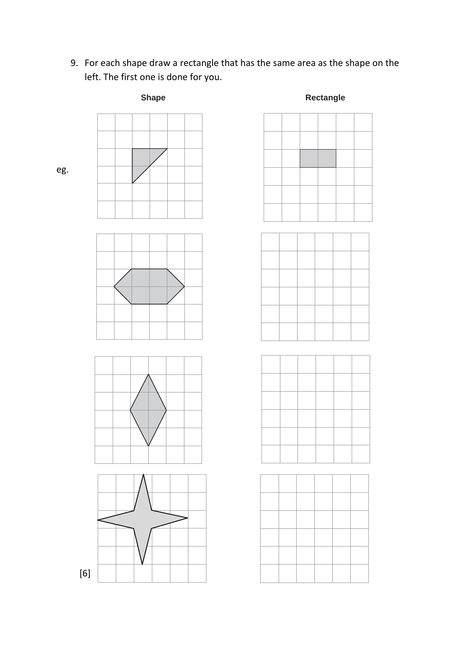9. For each shape draw a rectangle that has the same area as the shape on the left. The first one is done for you.



eg.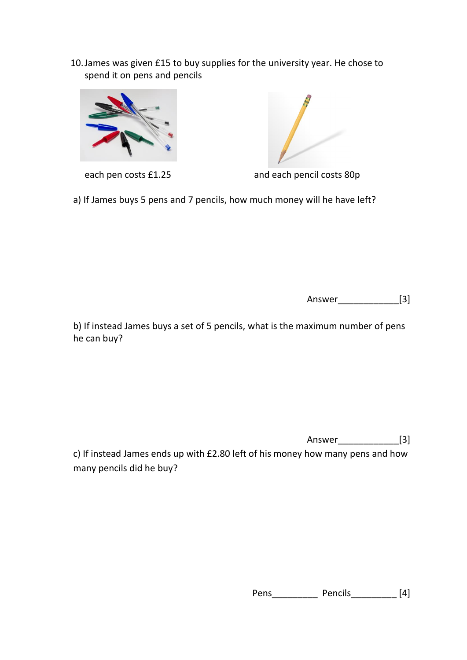10.James was given £15 to buy supplies for the university year. He chose to spend it on pens and pencils





each pen costs £1.25 and each pencil costs 80p

a) If James buys 5 pens and 7 pencils, how much money will he have left?

Answer\_\_\_\_\_\_\_\_\_\_\_\_[3]

b) If instead James buys a set of 5 pencils, what is the maximum number of pens he can buy?

Answer [3]

c) If instead James ends up with £2.80 left of his money how many pens and how many pencils did he buy?

Pens\_\_\_\_\_\_\_\_\_\_\_\_\_ Pencils\_\_\_\_\_\_\_\_\_\_\_ [4]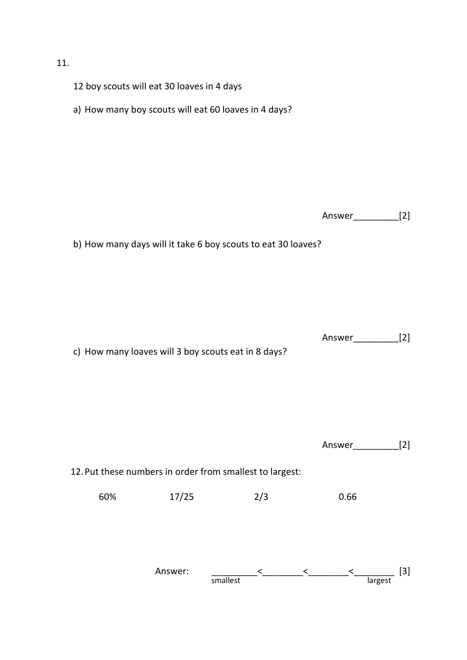#### 11.

12 boy scouts will eat 30 loaves in 4 days a) How many boy scouts will eat 60 loaves in 4 days? Answer\_\_\_\_\_\_\_\_\_[2] b) How many days will it take 6 boy scouts to eat 30 loaves? Answer\_\_\_\_\_\_\_\_\_[2] c) How many loaves will 3 boy scouts eat in 8 days? Answer\_\_\_\_\_\_\_\_\_[2] 12.Put these numbers in order from smallest to largest: 60% 17/25 2/3 0.66 Answer: \_\_\_\_\_\_\_\_\_<\_\_\_\_\_\_\_\_<\_\_\_\_\_\_\_\_<\_\_\_\_\_\_\_\_ [3] smallest and a largest largest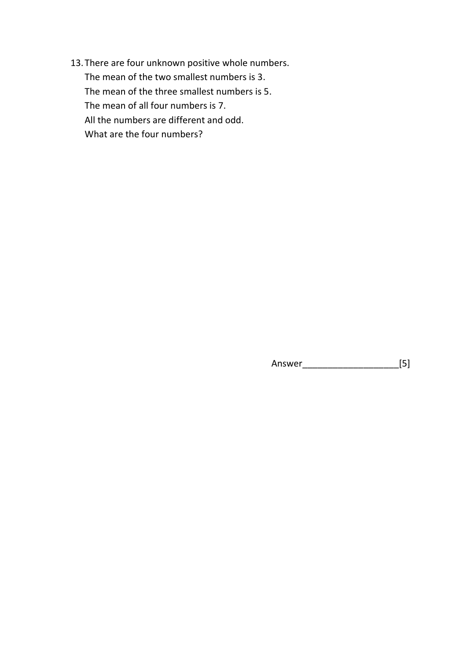13.There are four unknown positive whole numbers. The mean of the two smallest numbers is 3. The mean of the three smallest numbers is 5. The mean of all four numbers is 7. All the numbers are different and odd. What are the four numbers?

Answer\_\_\_\_\_\_\_\_\_\_\_\_\_\_\_\_\_\_\_[5]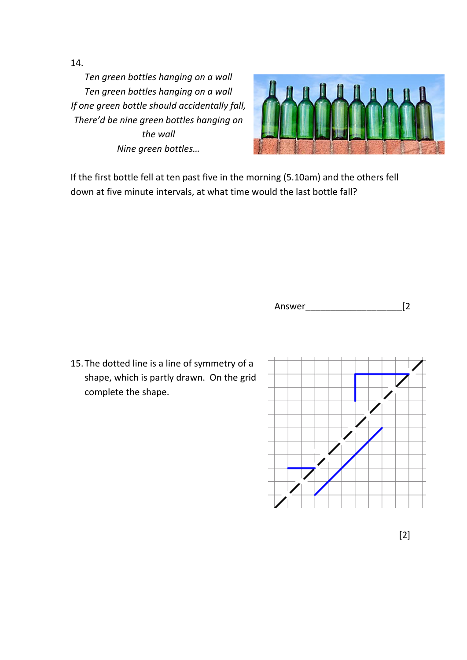14.

*Ten green bottles hanging on a wall Ten green bottles hanging on a wall If one green bottle should accidentally fall, There'd be nine green bottles hanging on the wall Nine green bottles…*



If the first bottle fell at ten past five in the morning (5.10am) and the others fell down at five minute intervals, at what time would the last bottle fall?



15.The dotted line is a line of symmetry of a shape, which is partly drawn. On the grid complete the shape.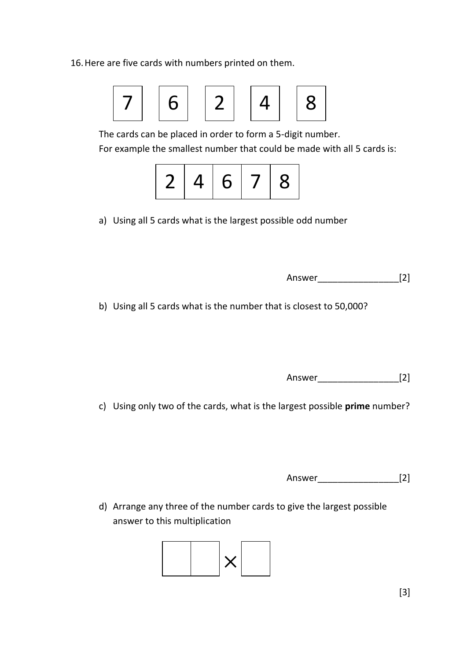16.Here are five cards with numbers printed on them.



The cards can be placed in order to form a 5-digit number.

For example the smallest number that could be made with all 5 cards is:



a) Using all 5 cards what is the largest possible odd number

| Answer |  |  |
|--------|--|--|
|--------|--|--|

b) Using all 5 cards what is the number that is closest to 50,000?

Answer\_\_\_\_\_\_\_\_\_\_\_\_\_\_\_\_[2]

c) Using only two of the cards, what is the largest possible **prime** number?

Answer [2]

d) Arrange any three of the number cards to give the largest possible answer to this multiplication

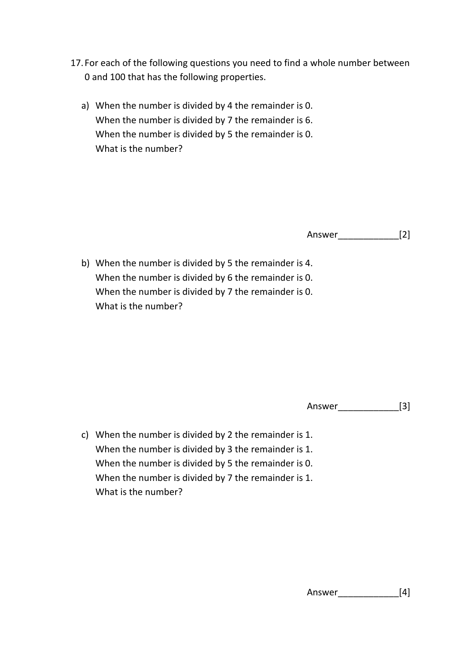- 17. For each of the following questions you need to find a whole number between 0 and 100 that has the following properties.
	- a) When the number is divided by 4 the remainder is 0. When the number is divided by 7 the remainder is 6. When the number is divided by 5 the remainder is 0. What is the number?

Answer\_\_\_\_\_\_\_\_\_\_\_\_[2]

b) When the number is divided by 5 the remainder is 4. When the number is divided by 6 the remainder is 0. When the number is divided by 7 the remainder is 0. What is the number?

Answer\_\_\_\_\_\_\_\_\_\_\_\_[3]

c) When the number is divided by 2 the remainder is 1. When the number is divided by 3 the remainder is 1. When the number is divided by 5 the remainder is 0. When the number is divided by 7 the remainder is 1. What is the number?